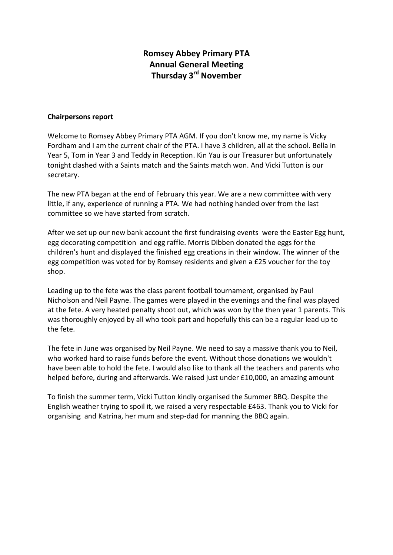## **Romsey Abbey Primary PTA Annual General Meeting Thursday 3rd November**

## **Chairpersons report**

Welcome to Romsey Abbey Primary PTA AGM. If you don't know me, my name is Vicky Fordham and I am the current chair of the PTA. I have 3 children, all at the school. Bella in Year 5, Tom in Year 3 and Teddy in Reception. Kin Yau is our Treasurer but unfortunately tonight clashed with a Saints match and the Saints match won. And Vicki Tutton is our secretary.

The new PTA began at the end of February this year. We are a new committee with very little, if any, experience of running a PTA. We had nothing handed over from the last committee so we have started from scratch.

After we set up our new bank account the first fundraising events were the Easter Egg hunt, egg decorating competition and egg raffle. Morris Dibben donated the eggs for the children's hunt and displayed the finished egg creations in their window. The winner of the egg competition was voted for by Romsey residents and given a £25 voucher for the toy shop.

Leading up to the fete was the class parent football tournament, organised by Paul Nicholson and Neil Payne. The games were played in the evenings and the final was played at the fete. A very heated penalty shoot out, which was won by the then year 1 parents. This was thoroughly enjoyed by all who took part and hopefully this can be a regular lead up to the fete.

The fete in June was organised by Neil Payne. We need to say a massive thank you to Neil, who worked hard to raise funds before the event. Without those donations we wouldn't have been able to hold the fete. I would also like to thank all the teachers and parents who helped before, during and afterwards. We raised just under £10,000, an amazing amount

To finish the summer term, Vicki Tutton kindly organised the Summer BBQ. Despite the English weather trying to spoil it, we raised a very respectable £463. Thank you to Vicki for organising and Katrina, her mum and step-dad for manning the BBQ again.